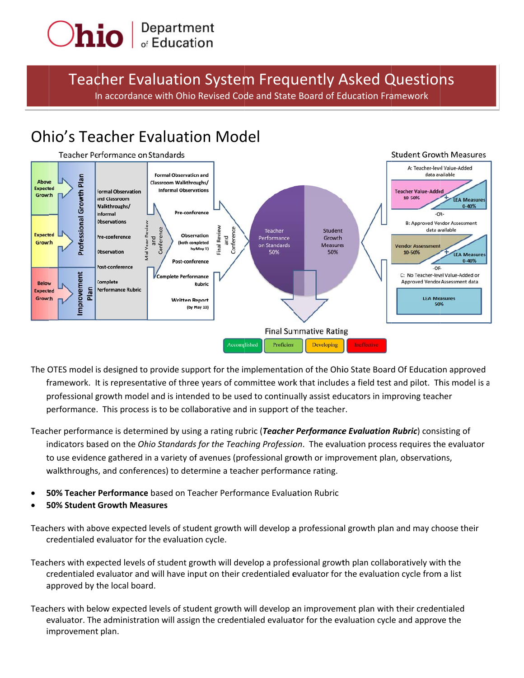

Teacher Evaluation System Frequently Asked Questions In accordance with Ohio Revised Code and State Board of Education Framework

# Ohio's Teacher Evaluation Model



- The OTES model is designed to provide support for the implementation of the Ohio State Board Of Education approved framework. It is representative of three years of committee work that includes a field test and pilot. This model is a professional growth model and is intended to be used to continually assist educators in improving teacher performance. This process is to be collaborative and in support of the teacher.
- Teacher performance is determined by using a rating rubric (*Teacher Performance Evaluation Rubric*) consisting of indicators based on the *Ohio Standards for the Teaching Profession*. The evaluation process requires the evaluator to use evidence gathered in a variety of avenues (professional growth or improvement plan, observations, walkthroughs, and conferences) to determine a teacher performance rating.
- **50% Teacher Performance** based on Teacher Performance Evaluation Rubric
- **5 50% Student Growth Mea sures**

Teachers with above expected levels of student growth will develop a professional growth plan and may choose their credentialed evaluator for the evaluation cycle.

- Teachers with expected levels of student growth will develop a professional growth plan collaboratively with the credentialed evaluator and will have input on their credentialed evaluator for the evaluation cycle from a list approved by the local board.
- Teachers with below expected levels of student growth will develop an improvement plan with their credentialed evaluator. The administration will assign the credentialed evaluator for the evaluation cycle and approve the i mprovement t plan.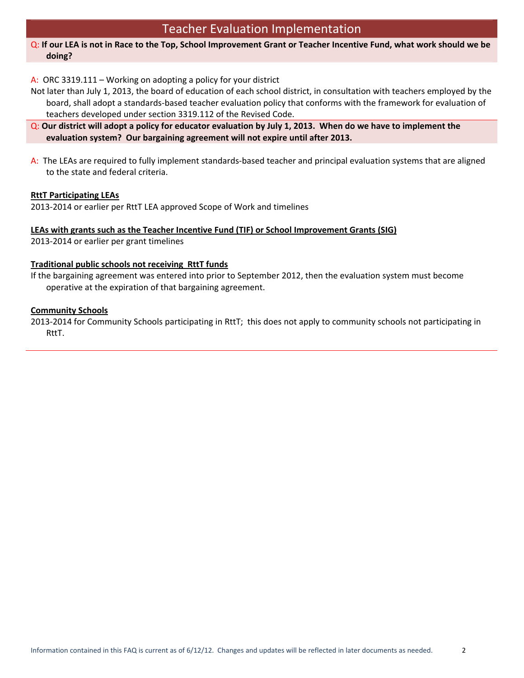# Teacher Evaluation Implementation

### Q: If our LEA is not in Race to the Top, School Improvement Grant or Teacher Incentive Fund, what work should we be **doing?**

A: ORC 3319.111 – Working on adopting a policy for your district

- Not later than July 1, 2013, the board of education of each school district, in consultation with teachers employed by the board, shall adopt a standards‐based teacher evaluation policy that conforms with the framework for evaluation of teachers developed under section 3319.112 of the Revised Code.
- $Q$ : Our district will adopt a policy for educator evaluation by July 1, 2013. When do we have to implement the **evaluation system? Our bargaining agreement will not expire until after 2013.**
- A: The LEAs are required to fully implement standards‐based teacher and principal evaluation systems that are aligned to the state and federal criteria.

# **RttT Participating LEAs**

2013‐2014 or earlier per RttT LEA approved Scope of Work and timelines

### **LEAs with grants such as the Teacher Incentive Fund (TIF) or School Improvement Grants (SIG)**

2013‐2014 or earlier per grant timelines

### **Traditional public schools not receiving RttT funds**

If the bargaining agreement was entered into prior to September 2012, then the evaluation system must become operative at the expiration of that bargaining agreement.

### **Community Schools**

2013‐2014 for Community Schools participating in RttT; this does not apply to community schools not participating in RttT.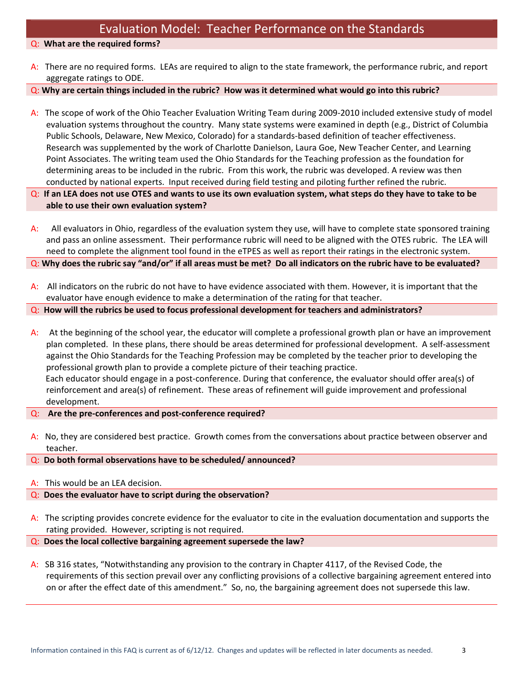Q: **What are the required forms?** 

A: There are no required forms. LEAs are required to align to the state framework, the performance rubric, and report aggregate ratings to ODE.

 $Q$ : Why are certain things included in the rubric? How was it determined what would go into this rubric?

- A: The scope of work of the Ohio Teacher Evaluation Writing Team during 2009-2010 included extensive study of model evaluation systems throughout the country. Many state systems were examined in depth (e.g., District of Columbia Public Schools, Delaware, New Mexico, Colorado) for a standards‐based definition of teacher effectiveness. Research was supplemented by the work of Charlotte Danielson, Laura Goe, New Teacher Center, and Learning Point Associates. The writing team used the Ohio Standards for the Teaching profession as the foundation for determining areas to be included in the rubric. From this work, the rubric was developed. A review was then conducted by national experts. Input received during field testing and piloting further refined the rubric.
- $Q$ : If an LEA does not use OTES and wants to use its own evaluation system, what steps do they have to take to be **able to use their own evaluation system?**
- A: All evaluators in Ohio, regardless of the evaluation system they use, will have to complete state sponsored training and pass an online assessment. Their performance rubric will need to be aligned with the OTES rubric. The LEA will need to complete the alignment tool found in the eTPES as well as report their ratings in the electronic system. Q: Why does the rubric say "and/or" if all areas must be met? Do all indicators on the rubric have to be evaluated?
- A: All indicators on the rubric do not have to have evidence associated with them. However, it is important that the evaluator have enough evidence to make a determination of the rating for that teacher.
- Q: **How will the rubrics be used to focus professional development for teachers and administrators?**
- A: At the beginning of the school year, the educator will complete a professional growth plan or have an improvement plan completed. In these plans, there should be areas determined for professional development. A self‐assessment against the Ohio Standards for the Teaching Profession may be completed by the teacher prior to developing the professional growth plan to provide a complete picture of their teaching practice. Each educator should engage in a post‐conference. During that conference, the evaluator should offer area(s) of reinforcement and area(s) of refinement. These areas of refinement will guide improvement and professional development.
- Q: **Are the pre‐conferences and post‐conference required?**
- A: No, they are considered best practice. Growth comes from the conversations about practice between observer and teacher.
- Q: **Do both formal observations have to be scheduled/ announced?**
- A: This would be an LEA decision.

### Q: **Does the evaluator have to script during the observation?**

- A: The scripting provides concrete evidence for the evaluator to cite in the evaluation documentation and supports the rating provided. However, scripting is not required.
- Q: **Does the local collective bargaining agreement supersede the law?**
- A: SB 316 states, "Notwithstanding any provision to the contrary in Chapter 4117, of the Revised Code, the requirements of this section prevail over any conflicting provisions of a collective bargaining agreement entered into on or after the effect date of this amendment." So, no, the bargaining agreement does not supersede this law.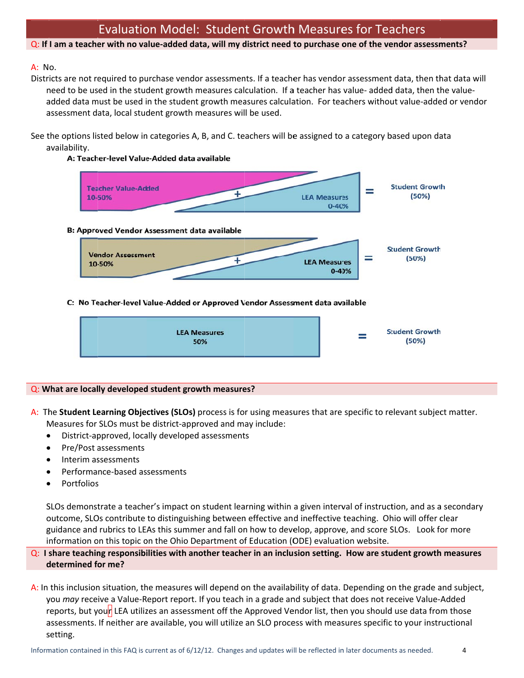# Evaluation Model: Student Growth Measures for Teachers

### Q: If I am a teacher with no value-added data, will my district need to purchase one of the vendor assessments?

### A: N o.

Districts are not required to purchase vendor assessments. If a teacher has vendor assessment data, then that data will need to be used in the student growth measures calculation. If a teacher has value- added data, then the valueadded data must be used in the student growth measures calculation. For teachers without value-added or vendor assessment data, local student growth measures will be used.

See the options listed below in categories A, B, and C. teachers will be assigned to a category based upon data a availability.

#### A: Teacher-level Value-Added data available



C: No Teacher-level Value-Added or Approved Vendor Assessment data available



#### **Q**: What are locally developed student growth measures?

- $\bullet$ ● District-approved, locally developed assessments
- $\bullet$ • Pre/Post assessments
- $\bullet$ • Interim assessments
- $\bullet$ ● Performance-based assessments
- $\bullet$ • Portfolios

SLOs demonstrate a teacher's impact on student learning within a given interval of instruction, and as a secondary outcome, SLOs contribute to distinguishing between effective and ineffective teaching. Ohio will offer clear guidance and rubrics to LEAs this summer and fall on how to develop, approve, and score SLOs. Look for more information on this topic on the Ohio Department of Education (ODE) evaluation website.

# Q: I share teaching responsibilities with another teacher in an inclusion setting. How are student growth measures **d determined fo or me?**

A: In this inclusion situation, the measures will depend on the availability of data. Depending on the grade and subject, you may receive a Value-Report report. If you teach in a grade and subject that does not receive Value-Added reports, but you<mark>r</mark> LEA utilizes an assessment off the Approved Vendor list, then you should use data from those assessments. If neither are available, you will utilize an SLO process with measures specific to your instructional s setting.

4

A: The Student Learning Objectives (SLOs) process is for using measures that are specific to relevant subject matter. Measures for SLOs must be district-approved and may include: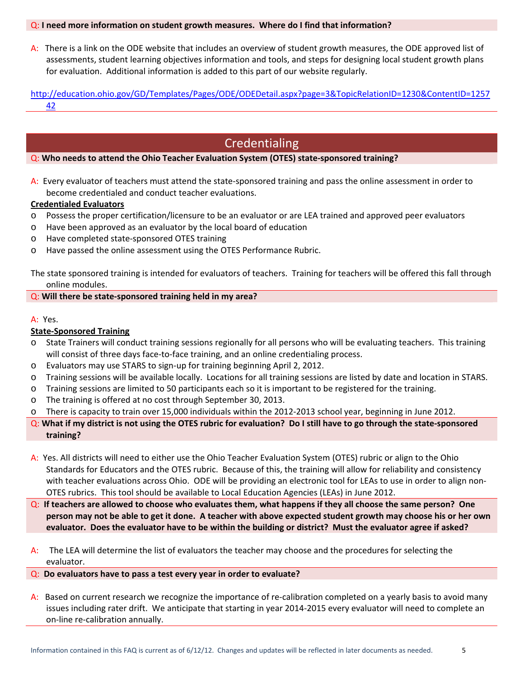#### Q: **I need more information on student growth measures. Where do I find that information?**

A: There is a link on the ODE website that includes an overview of student growth measures, the ODE approved list of assessments, student learning objectives information and tools, and steps for designing local student growth plans for evaluation. Additional information is added to this part of our website regularly.

http://education.ohio.gov/GD/Templates/Pages/ODE/ODEDetail.aspx?page=3&TopicRelationID=1230&ContentID=1257 42

# Credentialing

#### Q: **Who needs to attend the Ohio Teacher Evaluation System (OTES) state‐sponsored training?**

A: Every evaluator of teachers must attend the state‐sponsored training and pass the online assessment in order to become credentialed and conduct teacher evaluations.

#### **Credentialed Evaluators**

- o Possess the proper certification/licensure to be an evaluator or are LEA trained and approved peer evaluators
- o Have been approved as an evaluator by the local board of education
- o Have completed state‐sponsored OTES training
- o Have passed the online assessment using the OTES Performance Rubric.

The state sponsored training is intended for evaluators of teachers. Training for teachers will be offered this fall through online modules.

### Q: **Will there be state‐sponsored training held in my area?**

#### A: Yes.

### **State‐Sponsored Training**

- o State Trainers will conduct training sessions regionally for all persons who will be evaluating teachers. This training will consist of three days face-to-face training, and an online credentialing process.
- o Evaluators may use STARS to sign‐up for training beginning April 2, 2012.
- o Training sessions will be available locally. Locations for all training sessions are listed by date and location in STARS.
- o Training sessions are limited to 50 participants each so it is important to be registered for the training.
- o The training is offered at no cost through September 30, 2013.
- o There is capacity to train over 15,000 individuals within the 2012‐2013 school year, beginning in June 2012.
- Q: What if my district is not using the OTES rubric for evaluation? Do I still have to go through the state-sponsored **training?**
- A: Yes. All districts will need to either use the Ohio Teacher Evaluation System (OTES) rubric or align to the Ohio Standards for Educators and the OTES rubric. Because of this, the training will allow for reliability and consistency with teacher evaluations across Ohio. ODE will be providing an electronic tool for LEAs to use in order to align non-OTES rubrics. This tool should be available to Local Education Agencies (LEAs) in June 2012.
- $Q$ : If teachers are allowed to choose who evaluates them, what happens if they all choose the same person? One person may not be able to get it done. A teacher with above expected student growth may choose his or her own evaluator. Does the evaluator have to be within the building or district? Must the evaluator agree if asked?
- A: The LEA will determine the list of evaluators the teacher may choose and the procedures for selecting the evaluator.

#### Q: **Do evaluators have to pass a test every year in order to evaluate?**

A: Based on current research we recognize the importance of re-calibration completed on a yearly basis to avoid many issues including rater drift. We anticipate that starting in year 2014‐2015 every evaluator will need to complete an on‐line re‐calibration annually.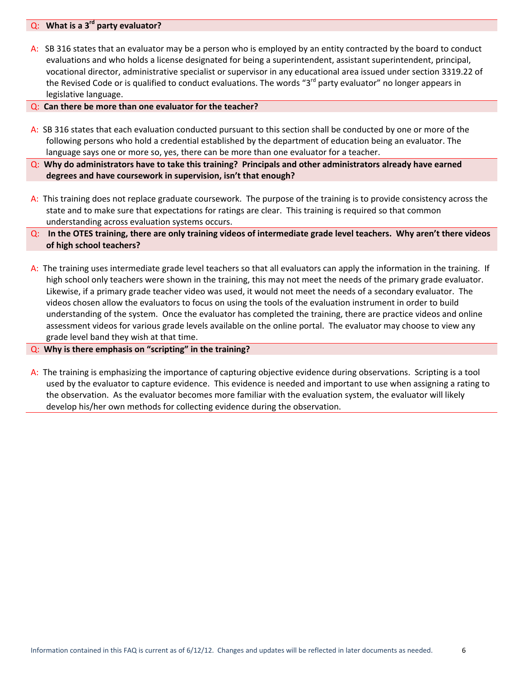### Q: **What is a 3rd party evaluator?**

- A: SB 316 states that an evaluator may be a person who is employed by an entity contracted by the board to conduct evaluations and who holds a license designated for being a superintendent, assistant superintendent, principal, vocational director, administrative specialist or supervisor in any educational area issued under section 3319.22 of the Revised Code or is qualified to conduct evaluations. The words "3<sup>rd</sup> party evaluator" no longer appears in legislative language.
- Q: **Can there be more than one evaluator for the teacher?**
- A: SB 316 states that each evaluation conducted pursuant to this section shall be conducted by one or more of the following persons who hold a credential established by the department of education being an evaluator. The language says one or more so, yes, there can be more than one evaluator for a teacher.
- Q: **Why do administrators have to take this training? Principals and other administrators already have earned degrees and have coursework in supervision, isn't that enough?**
- A: This training does not replace graduate coursework. The purpose of the training is to provide consistency across the state and to make sure that expectations for ratings are clear. This training is required so that common understanding across evaluation systems occurs.
- $Q$ : In the OTES training, there are only training videos of intermediate grade level teachers. Why aren't there videos **of high school teachers?**
- A: The training uses intermediate grade level teachers so that all evaluators can apply the information in the training. If high school only teachers were shown in the training, this may not meet the needs of the primary grade evaluator. Likewise, if a primary grade teacher video was used, it would not meet the needs of a secondary evaluator. The videos chosen allow the evaluators to focus on using the tools of the evaluation instrument in order to build understanding of the system. Once the evaluator has completed the training, there are practice videos and online assessment videos for various grade levels available on the online portal. The evaluator may choose to view any grade level band they wish at that time.

#### Q: **Why is there emphasis on "scripting" in the training?**

A: The training is emphasizing the importance of capturing objective evidence during observations. Scripting is a tool used by the evaluator to capture evidence. This evidence is needed and important to use when assigning a rating to the observation. As the evaluator becomes more familiar with the evaluation system, the evaluator will likely develop his/her own methods for collecting evidence during the observation.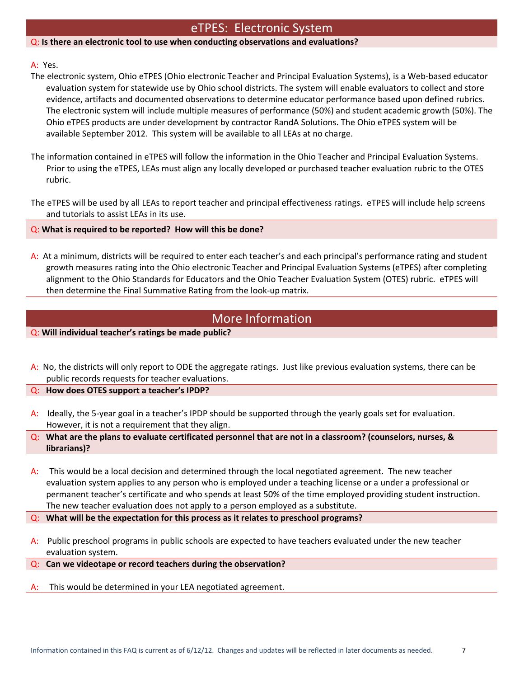# eTPES: Electronic System

#### Q: **Is there an electronic tool to use when conducting observations and evaluations?**

#### A: Yes.

- The electronic system, Ohio eTPES (Ohio electronic Teacher and Principal Evaluation Systems), is a Web‐based educator evaluation system for statewide use by Ohio school districts. The system will enable evaluators to collect and store evidence, artifacts and documented observations to determine educator performance based upon defined rubrics. The electronic system will include multiple measures of performance (50%) and student academic growth (50%). The Ohio eTPES products are under development by contractor RandA Solutions. The Ohio eTPES system will be available September 2012. This system will be available to all LEAs at no charge.
- The information contained in eTPES will follow the information in the Ohio Teacher and Principal Evaluation Systems. Prior to using the eTPES, LEAs must align any locally developed or purchased teacher evaluation rubric to the OTES rubric.
- The eTPES will be used by all LEAs to report teacher and principal effectiveness ratings. eTPES will include help screens and tutorials to assist LEAs in its use.

#### Q: **What is required to be reported? How will this be done?**

A: At a minimum, districts will be required to enter each teacher's and each principal's performance rating and student growth measures rating into the Ohio electronic Teacher and Principal Evaluation Systems (eTPES) after completing alignment to the Ohio Standards for Educators and the Ohio Teacher Evaluation System (OTES) rubric. eTPES will then determine the Final Summative Rating from the look‐up matrix.

# More Information

Q: **Will individual teacher's ratings be made public?**

A: No, the districts will only report to ODE the aggregate ratings. Just like previous evaluation systems, there can be public records requests for teacher evaluations.

Q: **How does OTES support a teacher's IPDP?**

A: Ideally, the 5‐year goal in a teacher's IPDP should be supported through the yearly goals set for evaluation. However, it is not a requirement that they align.

Q: What are the plans to evaluate certificated personnel that are not in a classroom? (counselors, nurses, & **librarians)?**

A: This would be a local decision and determined through the local negotiated agreement. The new teacher evaluation system applies to any person who is employed under a teaching license or a under a professional or permanent teacher's certificate and who spends at least 50% of the time employed providing student instruction. The new teacher evaluation does not apply to a person employed as a substitute.

Q: **What will be the expectation for this process as it relates to preschool programs?**

- A: Public preschool programs in public schools are expected to have teachers evaluated under the new teacher evaluation system.
- Q: **Can we videotape or record teachers during the observation?**
- This would be determined in your LEA negotiated agreement.